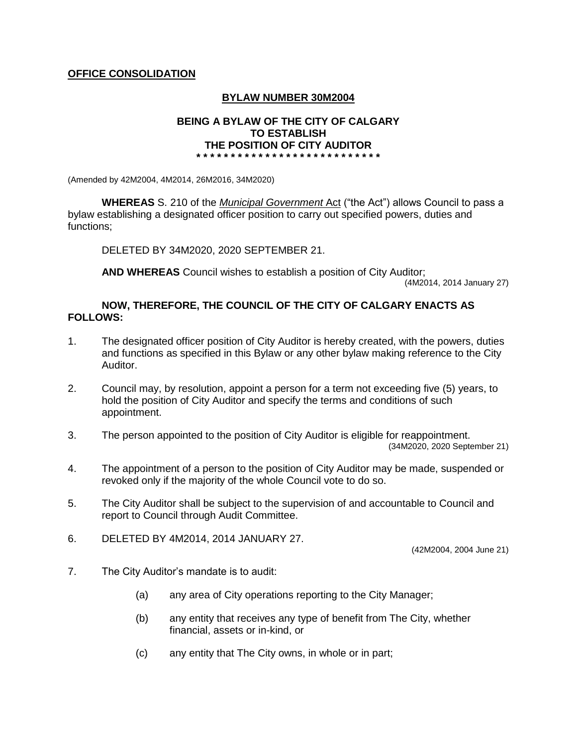# **OFFICE CONSOLIDATION**

# **BYLAW NUMBER 30M2004**

#### **BEING A BYLAW OF THE CITY OF CALGARY TO ESTABLISH THE POSITION OF CITY AUDITOR \* \* \* \* \* \* \* \* \* \* \* \* \* \* \* \* \* \* \* \* \* \* \* \* \* \* \***

(Amended by 42M2004, 4M2014, 26M2016, 34M2020)

**WHEREAS** S. 210 of the *Municipal Government* Act ("the Act") allows Council to pass a bylaw establishing a designated officer position to carry out specified powers, duties and functions;

DELETED BY 34M2020, 2020 SEPTEMBER 21.

**AND WHEREAS** Council wishes to establish a position of City Auditor;

(4M2014, 2014 January 27)

### **NOW, THEREFORE, THE COUNCIL OF THE CITY OF CALGARY ENACTS AS FOLLOWS:**

- 1. The designated officer position of City Auditor is hereby created, with the powers, duties and functions as specified in this Bylaw or any other bylaw making reference to the City Auditor.
- 2. Council may, by resolution, appoint a person for a term not exceeding five (5) years, to hold the position of City Auditor and specify the terms and conditions of such appointment.
- 3. The person appointed to the position of City Auditor is eligible for reappointment. (34M2020, 2020 September 21)
- 4. The appointment of a person to the position of City Auditor may be made, suspended or revoked only if the majority of the whole Council vote to do so.
- 5. The City Auditor shall be subject to the supervision of and accountable to Council and report to Council through Audit Committee.
- 6. DELETED BY 4M2014, 2014 JANUARY 27.

(42M2004, 2004 June 21)

- 7. The City Auditor's mandate is to audit:
	- (a) any area of City operations reporting to the City Manager;
	- (b) any entity that receives any type of benefit from The City, whether financial, assets or in-kind, or
	- (c) any entity that The City owns, in whole or in part;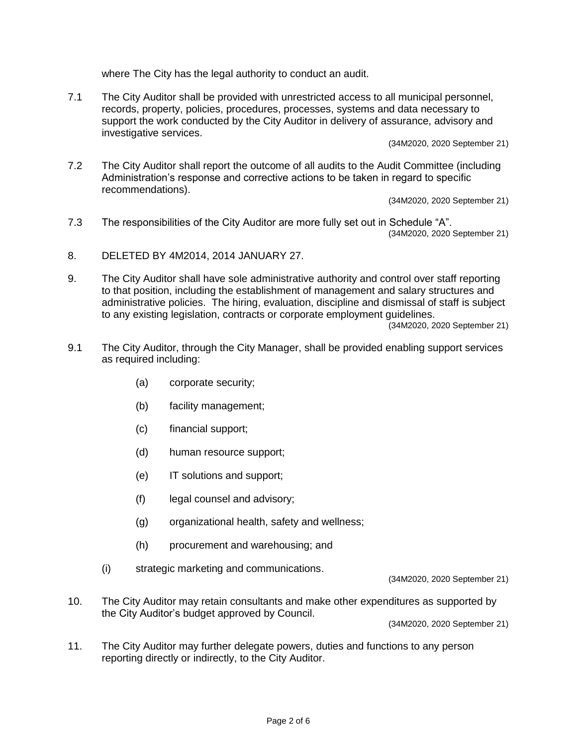where The City has the legal authority to conduct an audit.

7.1 The City Auditor shall be provided with unrestricted access to all municipal personnel, records, property, policies, procedures, processes, systems and data necessary to support the work conducted by the City Auditor in delivery of assurance, advisory and investigative services.

(34M2020, 2020 September 21)

7.2 The City Auditor shall report the outcome of all audits to the Audit Committee (including Administration's response and corrective actions to be taken in regard to specific recommendations).

(34M2020, 2020 September 21)

- 7.3 The responsibilities of the City Auditor are more fully set out in Schedule "A". (34M2020, 2020 September 21)
- 8. DELETED BY 4M2014, 2014 JANUARY 27.
- 9. The City Auditor shall have sole administrative authority and control over staff reporting to that position, including the establishment of management and salary structures and administrative policies. The hiring, evaluation, discipline and dismissal of staff is subject to any existing legislation, contracts or corporate employment guidelines.

(34M2020, 2020 September 21)

- 9.1 The City Auditor, through the City Manager, shall be provided enabling support services as required including:
	- (a) corporate security;
	- (b) facility management;
	- (c) financial support;
	- (d) human resource support;
	- (e) IT solutions and support;
	- (f) legal counsel and advisory;
	- (g) organizational health, safety and wellness;
	- (h) procurement and warehousing; and
	- (i) strategic marketing and communications.

(34M2020, 2020 September 21)

10. The City Auditor may retain consultants and make other expenditures as supported by the City Auditor's budget approved by Council.

(34M2020, 2020 September 21)

11. The City Auditor may further delegate powers, duties and functions to any person reporting directly or indirectly, to the City Auditor.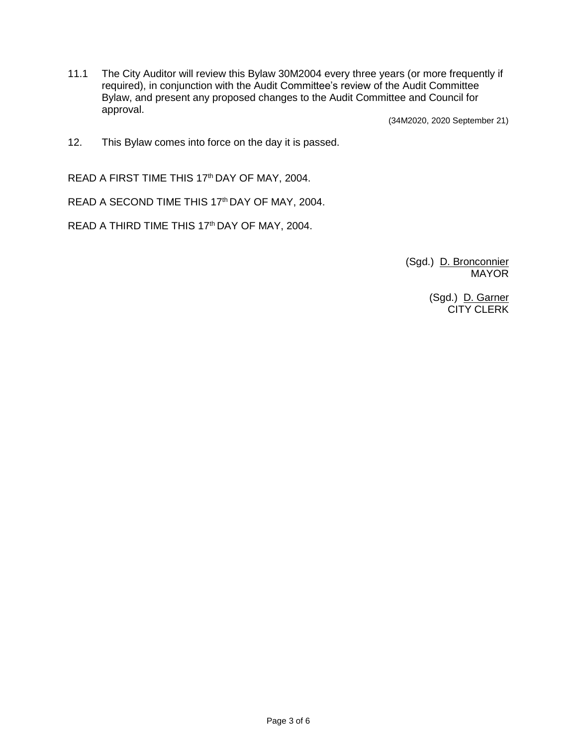11.1 The City Auditor will review this Bylaw 30M2004 every three years (or more frequently if required), in conjunction with the Audit Committee's review of the Audit Committee Bylaw, and present any proposed changes to the Audit Committee and Council for approval.

(34M2020, 2020 September 21)

12. This Bylaw comes into force on the day it is passed.

READ A FIRST TIME THIS 17<sup>th</sup> DAY OF MAY, 2004.

READ A SECOND TIME THIS 17th DAY OF MAY, 2004.

READ A THIRD TIME THIS 17<sup>th</sup> DAY OF MAY, 2004.

(Sgd.) D. Bronconnier **MAYOR** 

> (Sgd.) D. Garner CITY CLERK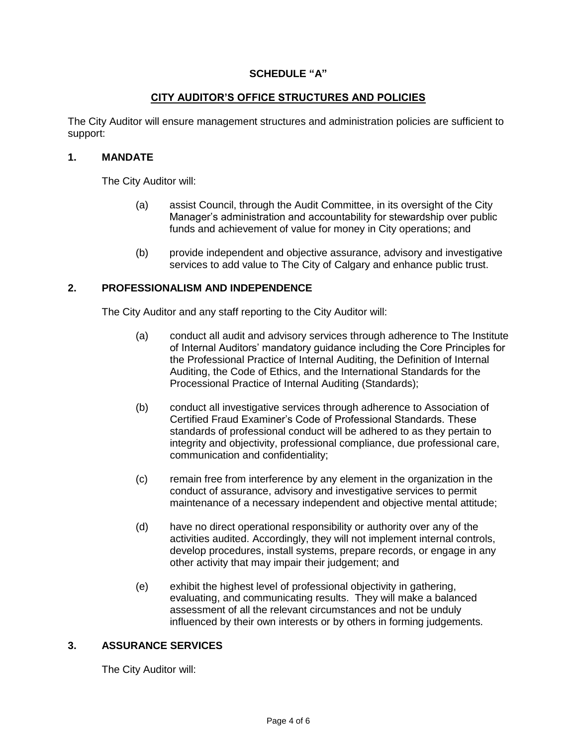# **SCHEDULE "A"**

# **CITY AUDITOR'S OFFICE STRUCTURES AND POLICIES**

The City Auditor will ensure management structures and administration policies are sufficient to support:

### **1. MANDATE**

The City Auditor will:

- (a) assist Council, through the Audit Committee, in its oversight of the City Manager's administration and accountability for stewardship over public funds and achievement of value for money in City operations; and
- (b) provide independent and objective assurance, advisory and investigative services to add value to The City of Calgary and enhance public trust.

### **2. PROFESSIONALISM AND INDEPENDENCE**

The City Auditor and any staff reporting to the City Auditor will:

- (a) conduct all audit and advisory services through adherence to The Institute of Internal Auditors' mandatory guidance including the Core Principles for the Professional Practice of Internal Auditing, the Definition of Internal Auditing, the Code of Ethics, and the International Standards for the Processional Practice of Internal Auditing (Standards);
- (b) conduct all investigative services through adherence to Association of Certified Fraud Examiner's Code of Professional Standards. These standards of professional conduct will be adhered to as they pertain to integrity and objectivity, professional compliance, due professional care, communication and confidentiality;
- (c) remain free from interference by any element in the organization in the conduct of assurance, advisory and investigative services to permit maintenance of a necessary independent and objective mental attitude;
- (d) have no direct operational responsibility or authority over any of the activities audited. Accordingly, they will not implement internal controls, develop procedures, install systems, prepare records, or engage in any other activity that may impair their judgement; and
- (e) exhibit the highest level of professional objectivity in gathering, evaluating, and communicating results. They will make a balanced assessment of all the relevant circumstances and not be unduly influenced by their own interests or by others in forming judgements.

### **3. ASSURANCE SERVICES**

The City Auditor will: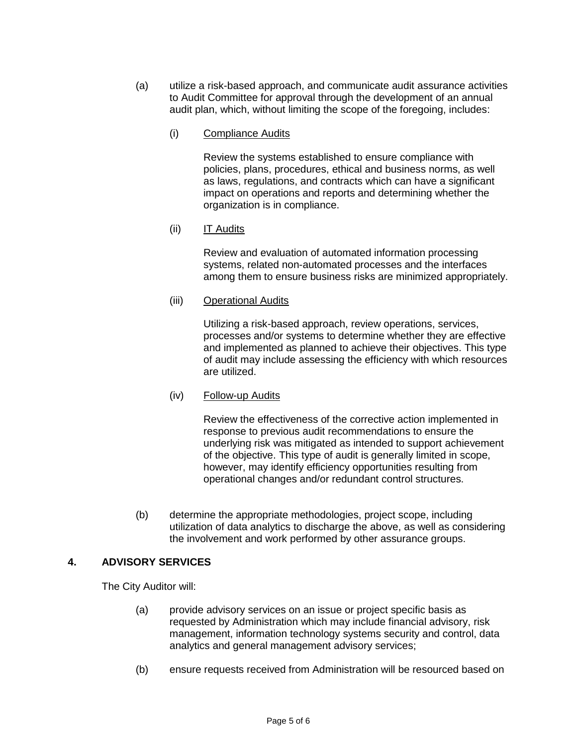- (a) utilize a risk-based approach, and communicate audit assurance activities to Audit Committee for approval through the development of an annual audit plan, which, without limiting the scope of the foregoing, includes:
	- (i) Compliance Audits

Review the systems established to ensure compliance with policies, plans, procedures, ethical and business norms, as well as laws, regulations, and contracts which can have a significant impact on operations and reports and determining whether the organization is in compliance.

(ii) IT Audits

Review and evaluation of automated information processing systems, related non-automated processes and the interfaces among them to ensure business risks are minimized appropriately.

(iii) Operational Audits

Utilizing a risk-based approach, review operations, services, processes and/or systems to determine whether they are effective and implemented as planned to achieve their objectives. This type of audit may include assessing the efficiency with which resources are utilized.

(iv) Follow-up Audits

Review the effectiveness of the corrective action implemented in response to previous audit recommendations to ensure the underlying risk was mitigated as intended to support achievement of the objective. This type of audit is generally limited in scope, however, may identify efficiency opportunities resulting from operational changes and/or redundant control structures.

(b) determine the appropriate methodologies, project scope, including utilization of data analytics to discharge the above, as well as considering the involvement and work performed by other assurance groups.

# **4. ADVISORY SERVICES**

The City Auditor will:

- (a) provide advisory services on an issue or project specific basis as requested by Administration which may include financial advisory, risk management, information technology systems security and control, data analytics and general management advisory services;
- (b) ensure requests received from Administration will be resourced based on